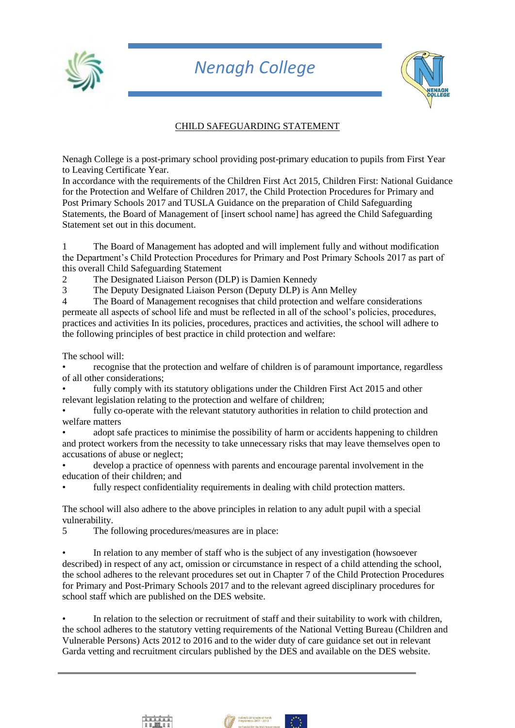

## *Nenagh College*



## CHILD SAFEGUARDING STATEMENT

Nenagh College is a post-primary school providing post-primary education to pupils from First Year to Leaving Certificate Year.

In accordance with the requirements of the Children First Act 2015, Children First: National Guidance for the Protection and Welfare of Children 2017, the Child Protection Procedures for Primary and Post Primary Schools 2017 and TUSLA Guidance on the preparation of Child Safeguarding Statements, the Board of Management of [insert school name] has agreed the Child Safeguarding Statement set out in this document.

1 The Board of Management has adopted and will implement fully and without modification the Department's Child Protection Procedures for Primary and Post Primary Schools 2017 as part of this overall Child Safeguarding Statement

2 The Designated Liaison Person (DLP) is Damien Kennedy

3 The Deputy Designated Liaison Person (Deputy DLP) is Ann Melley

4 The Board of Management recognises that child protection and welfare considerations permeate all aspects of school life and must be reflected in all of the school's policies, procedures, practices and activities In its policies, procedures, practices and activities, the school will adhere to the following principles of best practice in child protection and welfare:

The school will:

• recognise that the protection and welfare of children is of paramount importance, regardless of all other considerations;

fully comply with its statutory obligations under the Children First Act 2015 and other relevant legislation relating to the protection and welfare of children;

fully co-operate with the relevant statutory authorities in relation to child protection and welfare matters

• adopt safe practices to minimise the possibility of harm or accidents happening to children and protect workers from the necessity to take unnecessary risks that may leave themselves open to accusations of abuse or neglect;

• develop a practice of openness with parents and encourage parental involvement in the education of their children; and

fully respect confidentiality requirements in dealing with child protection matters.

The school will also adhere to the above principles in relation to any adult pupil with a special vulnerability.

5 The following procedures/measures are in place:

In relation to any member of staff who is the subject of any investigation (howsoever described) in respect of any act, omission or circumstance in respect of a child attending the school, the school adheres to the relevant procedures set out in Chapter 7 of the Child Protection Procedures for Primary and Post-Primary Schools 2017 and to the relevant agreed disciplinary procedures for school staff which are published on the DES website.

In relation to the selection or recruitment of staff and their suitability to work with children, the school adheres to the statutory vetting requirements of the National Vetting Bureau (Children and Vulnerable Persons) Acts 2012 to 2016 and to the wider duty of care guidance set out in relevant Garda vetting and recruitment circulars published by the DES and available on the DES website.